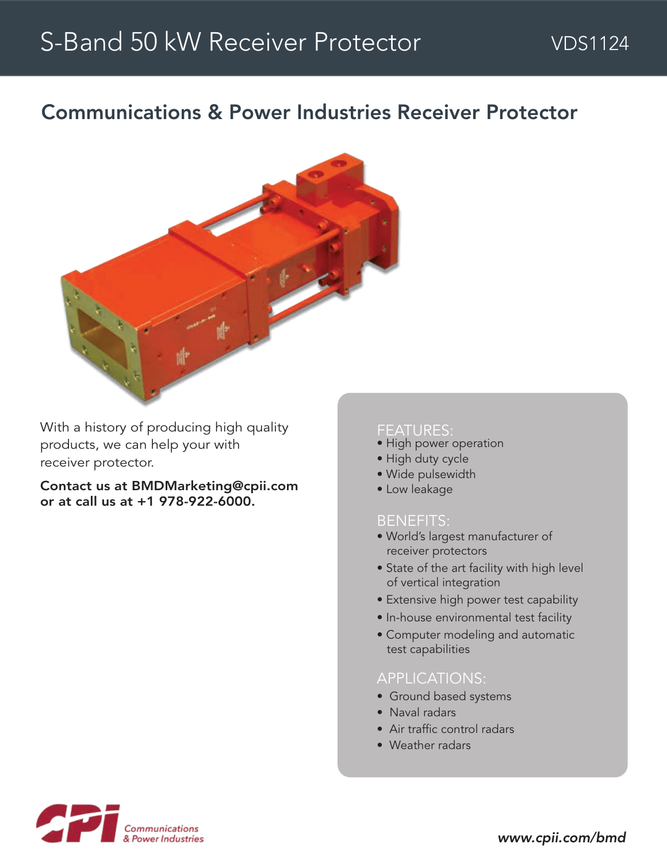## Communications & Power Industries Receiver Protector



With a history of producing high quality products, we can help your with receiver protector.

Contact us at BMDMarketing@cpii.com or at call us at +1 978-922-6000.

#### FEATURES:

- High power operation
- High duty cycle
- Wide pulsewidth
- Low leakage

#### BENEFITS:

- World's largest manufacturer of receiver protectors
- State of the art facility with high level of vertical integration
- Extensive high power test capability
- In-house environmental test facility
- Computer modeling and automatic test capabilities

### APPLICATIONS:

- Ground based systems
- Naval radars
- Air traffic control radars
- Weather radars